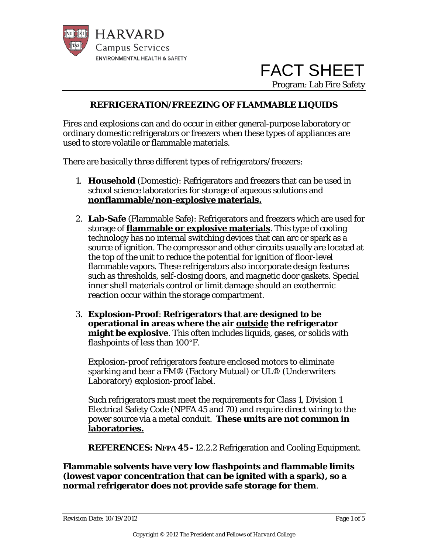

 FACT SHEET Program: Lab Fire Safety

#### **REFRIGERATION/FREEZING OF FLAMMABLE LIQUIDS**

Fires and explosions can and do occur in either general-purpose laboratory or ordinary domestic refrigerators or freezers when these types of appliances are used to store volatile or flammable materials.

There are basically three different types of refrigerators/freezers:

- *1.* **Household** (Domestic): Refrigerators and freezers that can be used in school science laboratories for storage of aqueous solutions and **nonflammable/non-explosive materials.**
- 2. **Lab-Safe** (Flammable Safe): Refrigerators and freezers which are used for storage of **flammable or explosive materials**. This type of cooling technology has no internal switching devices that can arc or spark as a source of ignition. The compressor and other circuits usually are located at the top of the unit to reduce the potential for ignition of floor-level flammable vapors. These refrigerators also incorporate design features such as thresholds, self-closing doors, and magnetic door gaskets. Special inner shell materials control or limit damage should an exothermic reaction occur within the storage compartment.
- 3. **Explosion-Proof**: **Refrigerators that are designed to be operational in areas where the air outside the refrigerator might be explosive**. This often includes liquids, gases, or solids with flashpoints of less than 100°F.

Explosion-proof refrigerators feature enclosed motors to eliminate sparking and bear a FM® (Factory Mutual) or UL® (Underwriters Laboratory) explosion-proof label.

Such refrigerators must meet the requirements for Class 1, Division 1 Electrical Safety Code (NPFA 45 and 70) and require direct wiring to the power source via a metal conduit. **These units are not common in laboratories.**

**REFERENCES: NFPA 45 -** 12.2.2 Refrigeration and Cooling Equipment.

**Flammable solvents have very low flashpoints and flammable limits (lowest vapor concentration that can be ignited with a spark), so a normal refrigerator does not provide safe storage for them**.

Revision Date:  $10/19/2012$  Page 1 of 5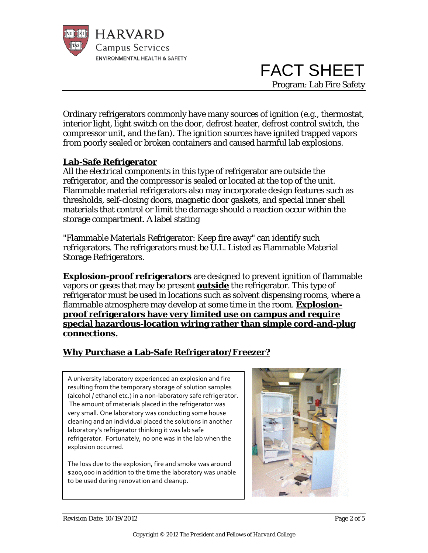

 FACT SHEET Program: Lab Fire Safety

Ordinary refrigerators commonly have many sources of ignition (e.g., thermostat, interior light, light switch on the door, defrost heater, defrost control switch, the compressor unit, and the fan). The ignition sources have ignited trapped vapors from poorly sealed or broken containers and caused harmful lab explosions.

#### **Lab-Safe Refrigerator**

All the electrical components in this type of refrigerator are outside the refrigerator, and the compressor is sealed or located at the top of the unit. Flammable material refrigerators also may incorporate design features such as thresholds, self-closing doors, magnetic door gaskets, and special inner shell materials that control or limit the damage should a reaction occur within the storage compartment. A label stating

"Flammable Materials Refrigerator: Keep fire away" can identify such refrigerators. The refrigerators must be U.L. Listed as Flammable Material Storage Refrigerators.

**Explosion-proof refrigerators** are designed to prevent ignition of flammable vapors or gases that may be present **outside** the refrigerator. This type of refrigerator must be used in locations such as solvent dispensing rooms, where a flammable atmosphere may develop at some time in the room. **Explosionproof refrigerators have very limited use on campus and require special hazardous-location wiring rather than simple cord-and-plug connections.**

# **Why Purchase a Lab-Safe Refrigerator/Freezer?**

A university laboratory experienced an explosion and fire resulting from the temporary storage of solution samples (alcohol / ethanol etc.) in a non-laboratory safe refrigerator. The amount of materials placed in the refrigerator was very small. One laboratory was conducting some house cleaning and an individual placed the solutions in another laboratory's refrigerator thinking it was lab safe refrigerator. Fortunately, no one was in the lab when the explosion occurred.

The loss due to the explosion, fire and smoke was around \$200,000 in addition to the time the laboratory was unable to be used during renovation and cleanup.

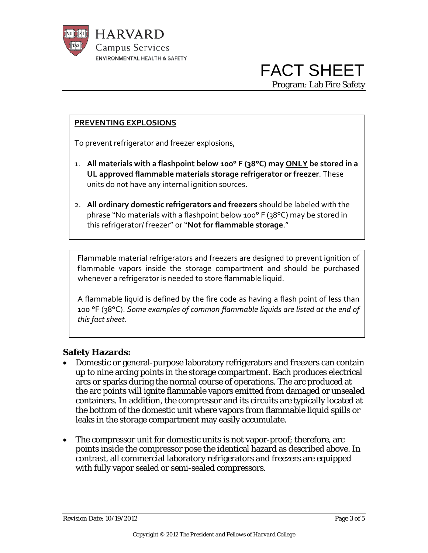

# **PREVENTING EXPLOSIONS**

To prevent refrigerator and freezer explosions,

- 1. **All materials with a flashpoint below 100° F (38°C) may ONLY be stored in a UL approved flammable materials storage refrigerator or freezer**. These units do not have any internal ignition sources.
- 2. **All ordinary domestic refrigerators and freezers** should be labeled with the phrase "No materials with a flashpoint below 100° F (38°C) may be stored in this refrigerator/ freezer" or "**Not for flammable storage**."

Flammable material refrigerators and freezers are designed to prevent ignition of flammable vapors inside the storage compartment and should be purchased whenever a refrigerator is needed to store flammable liquid.

A flammable liquid is defined by the fire code as having a flash point of less than 100 °F (38°C). *Some examples of common flammable liquids are listed at the end of this fact sheet.*

#### **Safety Hazards:**

- Domestic or general-purpose laboratory refrigerators and freezers can contain up to nine arcing points in the storage compartment. Each produces electrical arcs or sparks during the normal course of operations. The arc produced at the arc points will ignite flammable vapors emitted from damaged or unsealed containers. In addition, the compressor and its circuits are typically located at the bottom of the domestic unit where vapors from flammable liquid spills or leaks in the storage compartment may easily accumulate.
- The compressor unit for domestic units is not vapor-proof; therefore, arc points inside the compressor pose the identical hazard as described above. In contrast, all commercial laboratory refrigerators and freezers are equipped with fully vapor sealed or semi-sealed compressors.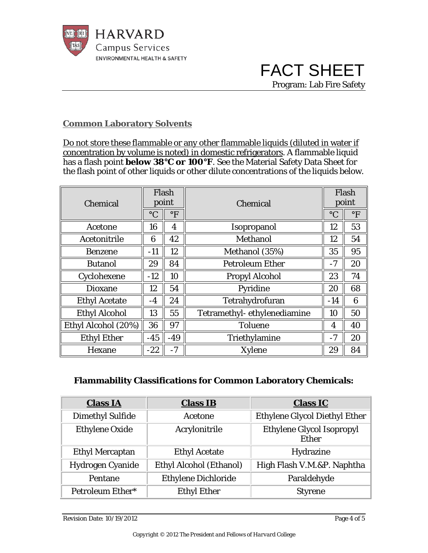

#### **Common Laboratory Solvents**

Do not store these flammable or any other flammable liquids (diluted in water if concentration by volume is noted) in domestic refrigerators. A flammable liquid has a flash point **below 38°C or 100°F**. See the Material Safety Data Sheet for the flash point of other liquids or other dilute concentrations of the liquids below.

| Chemical             | Flash<br>point  |              | Chemical                    |                 | Flash<br>point       |  |
|----------------------|-----------------|--------------|-----------------------------|-----------------|----------------------|--|
|                      | $\rm ^{\circ}C$ | $\mathrm{P}$ |                             | $\rm ^{\circ}C$ | $\mathrm{^{\circ}F}$ |  |
| Acetone              | 16              | 4            | Isopropanol                 | 12              | 53                   |  |
| Acetonitrile         | 6               | 42           | Methanol                    | 12              | 54                   |  |
| <b>Benzene</b>       | $-11$           | 12           | Methanol (35%)              | 35              | 95                   |  |
| <b>Butanol</b>       | 29              | 84           | <b>Petroleum Ether</b>      | $-7$            | 20                   |  |
| Cyclohexene          | $-12$           | 10           | <b>Propyl Alcohol</b>       | 23              | 74                   |  |
| <b>Dioxane</b>       | 12              | 54           | Pyridine                    | 20              | 68                   |  |
| <b>Ethyl Acetate</b> | $-4$            | 24           | Tetrahydrofuran             | $-14$           | 6                    |  |
| <b>Ethyl Alcohol</b> | 13              | 55           | Tetramethyl-ethylenediamine | 10              | 50                   |  |
| Ethyl Alcohol (20%)  | 36              | 97           | <b>Toluene</b>              | 4               | 40                   |  |
| <b>Ethyl Ether</b>   | $-45$           | $-49$        | Triethylamine               | $-7$            | 20                   |  |
| Hexane               | $-22$           | $-7$         | <b>Xylene</b>               | 29              | 84                   |  |

### **Flammability Classifications for Common Laboratory Chemicals:**

| <b>Class IA</b>         | <b>Class IB</b>            | <b>Class IC</b>                                  |
|-------------------------|----------------------------|--------------------------------------------------|
| <b>Dimethyl Sulfide</b> | Acetone                    | <b>Ethylene Glycol Diethyl Ether</b>             |
| <b>Ethylene Oxide</b>   | Acrylonitrile              | <b>Ethylene Glycol Isopropyl</b><br><b>Ether</b> |
| <b>Ethyl Mercaptan</b>  | <b>Ethyl Acetate</b>       | Hydrazine                                        |
| <b>Hydrogen Cyanide</b> | Ethyl Alcohol (Ethanol)    | High Flash V.M.&P. Naphtha                       |
| Pentane                 | <b>Ethylene Dichloride</b> | Paraldehyde                                      |
| Petroleum Ether*        | <b>Ethyl Ether</b>         | <b>Styrene</b>                                   |